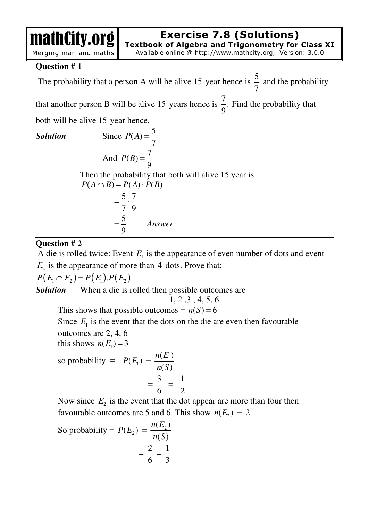**Exercise 7.8 (Solutions) Textbook of Algebra and Trigonometry for Class XI** 

Merging man and maths

Available online @ http://www.mathcity.org, Version: 3.0.0

# **Question # 1**

mathCity.org

The probability that a person A will be alive 15 year hence is  $\frac{5}{7}$ 7 and the probability that another person B will be alive 15 years hence is  $\frac{7}{6}$ . 9 Find the probability that

both will be alive 15 year hence.

**Solution** 

Since 
$$
P(A) = \frac{5}{7}
$$
  
And  $P(B) = \frac{7}{9}$ 

Then the probability that both will alive 15 year is  $P(A \cap B) = P(A) \cdot P(B)$ 

$$
=\frac{5}{7}\cdot\frac{7}{9}
$$
  
= $\frac{5}{9}$  Answer

# **Question # 2**

A die is rolled twice: Event  $E_1$  is the appearance of even number of dots and event  $E<sub>2</sub>$  is the appearance of more than 4 dots. Prove that:

 $P(E_1 \cap E_2) = P(E_1) \cdot P(E_2)$ .

*Solution* When a die is rolled then possible outcomes are

$$
1, 2 \, , 3 \, , 4, 5, 6
$$

This shows that possible outcomes =  $n(S) = 6$ 

Since  $E_1$  is the event that the dots on the die are even then favourable

outcomes are 2, 4, 6

this shows  $n(E_1) = 3$ 

so probability = 
$$
P(E_1) = \frac{n(E_1)}{n(S)}
$$
  
=  $\frac{3}{6} = \frac{1}{2}$ 

Now since  $E_2$  is the event that the dot appear are more than four then favourable outcomes are 5 and 6. This show  $n(E_2) = 2$ 

So probability = 
$$
P(E_2) = \frac{n(E_2)}{n(S)}
$$
  
=  $\frac{2}{6} = \frac{1}{3}$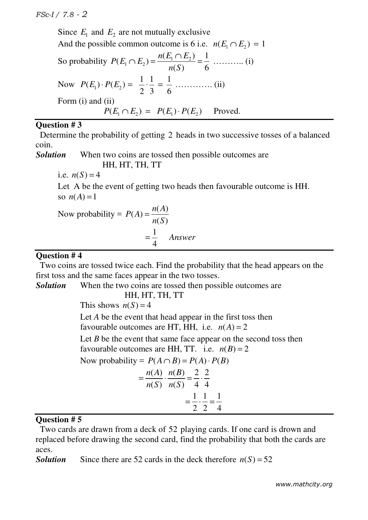Since  $E_1$  and  $E_2$  are not mutually exclusive And the possible common outcome is 6 i.e.  $n(E_1 \cap E_2) = 1$ So probability  $P(E_1 \cap E_2) = \frac{n(E_1 \cap E_2)}{n(S)} = \frac{1}{6}$  $(S)$  6  $P(E_1 \cap E_2) = \frac{n(E_1 \cap E_2)}{n(E_2 \cap E_1)}$ *n S* ∩ ∩ = = ……….. (i) Now  $P(E_1) \cdot P(E_2)$ 1 1 1 2 3 6 = ⋅ = …………. (ii) Form (i) and (ii)  $P(E_1 \cap E_2) = P(E_1) \cdot P(E_2)$  Proved.

### **Question # 3**

 Determine the probability of getting 2 heads in two successive tosses of a balanced coin.

*Solution* When two coins are tossed then possible outcomes are HH, HT, TH, TT

i.e.  $n(S) = 4$ 

Let A be the event of getting two heads then favourable outcome is HH. so  $n(A) = 1$ 

Now probability = 
$$
P(A) = \frac{n(A)}{n(S)}
$$
  
=  $\frac{1}{4}$  Answer

## [**Question # 4**

 Two coins are tossed twice each. Find the probability that the head appears on the first toss and the same faces appear in the two tosses.

*Solution* When the two coins are tossed then possible outcomes are

HH, HT, TH, TT

This shows  $n(S) = 4$ 

Let *A* be the event that head appear in the first toss then favourable outcomes are HT, HH, i.e.  $n(A) = 2$ 

Let *B* be the event that same face appear on the second toss then favourable outcomes are HH, TT. i.e.  $n(B) = 2$ 

Now probability =  $P(A \cap B) = P(A) \cdot P(B)$ 

$$
= \frac{n(A)}{n(S)} \cdot \frac{n(B)}{n(S)} = \frac{2}{4} \cdot \frac{2}{4}
$$

$$
= \frac{1}{2} \cdot \frac{1}{2} = \frac{1}{4}
$$

## **Question # 5**

 Two cards are drawn from a deck of 52 playing cards. If one card is drown and replaced before drawing the second card, find the probability that both the cards are aces.

**Solution** Since there are 52 cards in the deck therefore  $n(S) = 52$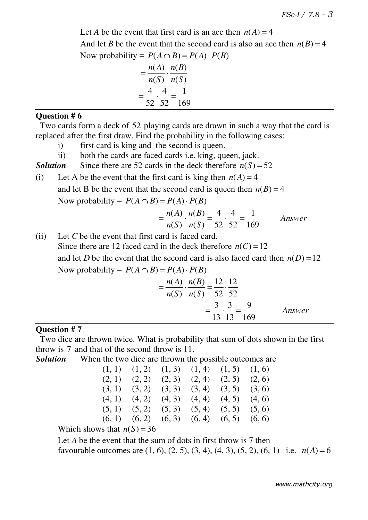Let *A* be the event that first card is an ace then  $n(A) = 4$ And let *B* be the event that the second card is also an ace then  $n(B) = 4$ Now probability =  $P(A \cap B) = P(A) \cdot P(B)$ 

$$
= \frac{n(A)}{n(S)} \cdot \frac{n(B)}{n(S)}
$$

$$
= \frac{4}{52} \cdot \frac{4}{52} = \frac{1}{169}
$$

#### **Question # 6**

 Two cards form a deck of 52 playing cards are drawn in such a way that the card is replaced after the first draw. Find the probability in the following cases:

- i) first card is king and the second is queen.
- ii) both the cards are faced cards i.e. king, queen, jack.

**Solution** Since there are 52 cards in the deck therefore  $n(S) = 52$ 

(i) Let A be the event that the first card is king then  $n(A) = 4$ and let B be the event that the second card is queen then  $n(B) = 4$ Now probability =  $P(A \cap B) = P(A) \cdot P(B)$ 

$$
= \frac{n(A)}{n(S)} \cdot \frac{n(B)}{n(S)} = \frac{4}{52} \cdot \frac{4}{52} = \frac{1}{169}
$$
 Answer

(ii) Let *C* be the event that first card is faced card. Since there are 12 faced card in the deck therefore  $n(C) = 12$ and let *D* be the event that the second card is also faced card then  $n(D) = 12$ Now probability =  $P(A \cap B) = P(A) \cdot P(B)$ 

$$
= \frac{n(A)}{n(S)} \cdot \frac{n(B)}{n(S)} = \frac{12}{52} \cdot \frac{12}{52}
$$
  
=  $\frac{3}{13} \cdot \frac{3}{13} = \frac{9}{169}$  Answer

### **Question # 7**

 Two dice are thrown twice. What is probability that sum of dots shown in the first throw is 7 and that of the second throw is 11.

*Solution* When the two dice are thrown the possible outcomes are

| $(1, 1)$ $(1, 2)$ $(1, 3)$ $(1, 4)$ $(1, 5)$ $(1, 6)$ |  |  |
|-------------------------------------------------------|--|--|
| $(2, 1)$ $(2, 2)$ $(2, 3)$ $(2, 4)$ $(2, 5)$ $(2, 6)$ |  |  |
| $(3, 1)$ $(3, 2)$ $(3, 3)$ $(3, 4)$ $(3, 5)$ $(3, 6)$ |  |  |
| $(4, 1)$ $(4, 2)$ $(4, 3)$ $(4, 4)$ $(4, 5)$ $(4, 6)$ |  |  |
| $(5, 1)$ $(5, 2)$ $(5, 3)$ $(5, 4)$ $(5, 5)$ $(5, 6)$ |  |  |
| $(6, 1)$ $(6, 2)$ $(6, 3)$ $(6, 4)$ $(6, 5)$ $(6, 6)$ |  |  |
|                                                       |  |  |

Which shows that  $n(S) = 36$ 

Let *A* be the event that the sum of dots in first throw is 7 then favourable outcomes are  $(1, 6)$ ,  $(2, 5)$ ,  $(3, 4)$ ,  $(4, 3)$ ,  $(5, 2)$ ,  $(6, 1)$  i.e.  $n(A) = 6$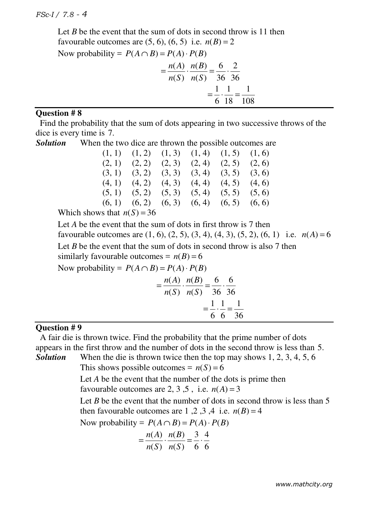*FSc-I / 7.8 - 4*

Let *B* be the event that the sum of dots in second throw is 11 then favourable outcomes are  $(5, 6)$ ,  $(6, 5)$  i.e.  $n(B) = 2$ 

Now probability =  $P(A \cap B) = P(A) \cdot P(B)$ 

$$
= \frac{n(A)}{n(S)} \cdot \frac{n(B)}{n(S)} = \frac{6}{36} \cdot \frac{2}{36}
$$

$$
= \frac{1}{6} \cdot \frac{1}{18} = \frac{1}{108}
$$

 $1$ 08

#### **Question # 8**

 Find the probability that the sum of dots appearing in two successive throws of the dice is every time is 7.

*Solution* When the two dice are thrown the possible outcomes are

| $(1, 1)$ $(1, 2)$ $(1, 3)$ $(1, 4)$ $(1, 5)$ $(1, 6)$ |  |  |
|-------------------------------------------------------|--|--|
| $(2, 1)$ $(2, 2)$ $(2, 3)$ $(2, 4)$ $(2, 5)$ $(2, 6)$ |  |  |
| $(3, 1)$ $(3, 2)$ $(3, 3)$ $(3, 4)$ $(3, 5)$ $(3, 6)$ |  |  |
| $(4, 1)$ $(4, 2)$ $(4, 3)$ $(4, 4)$ $(4, 5)$ $(4, 6)$ |  |  |
| $(5, 1)$ $(5, 2)$ $(5, 3)$ $(5, 4)$ $(5, 5)$ $(5, 6)$ |  |  |
| $(6, 1)$ $(6, 2)$ $(6, 3)$ $(6, 4)$ $(6, 5)$ $(6, 6)$ |  |  |
| $\sim$ $\sim$ $\sim$ $\sim$                           |  |  |

Which shows that  $n(S) = 36$ 

Let *A* be the event that the sum of dots in first throw is 7 then favourable outcomes are  $(1, 6)$ ,  $(2, 5)$ ,  $(3, 4)$ ,  $(4, 3)$ ,  $(5, 2)$ ,  $(6, 1)$  i.e.  $n(A) = 6$ Let *B* be the event that the sum of dots in second throw is also 7 then similarly favourable outcomes =  $n(B) = 6$ 

Now probability =  $P(A \cap B) = P(A) \cdot P(B)$ 

$$
= \frac{n(A)}{n(S)} \cdot \frac{n(B)}{n(S)} = \frac{6}{36} \cdot \frac{6}{36}
$$

$$
= \frac{1}{6} \cdot \frac{1}{6} = \frac{1}{36}
$$

#### **Question # 9**

 A fair die is thrown twice. Find the probability that the prime number of dots appears in the first throw and the number of dots in the second throw is less than 5. *Solution* When the die is thrown twice then the top may shows 1, 2, 3, 4, 5, 6

This shows possible outcomes =  $n(S) = 6$ 

Let *A* be the event that the number of the dots is prime then favourable outcomes are 2, 3, 5, i.e.  $n(A) = 3$ 

Let *B* be the event that the number of dots in second throw is less than 5 then favourable outcomes are 1,2,3,4 i.e.  $n(B) = 4$ 

Now probability =  $P(A \cap B) = P(A) \cdot P(B)$ 

$$
=\frac{n(A)}{n(S)}\cdot\frac{n(B)}{n(S)}=\frac{3}{6}\cdot\frac{4}{6}
$$